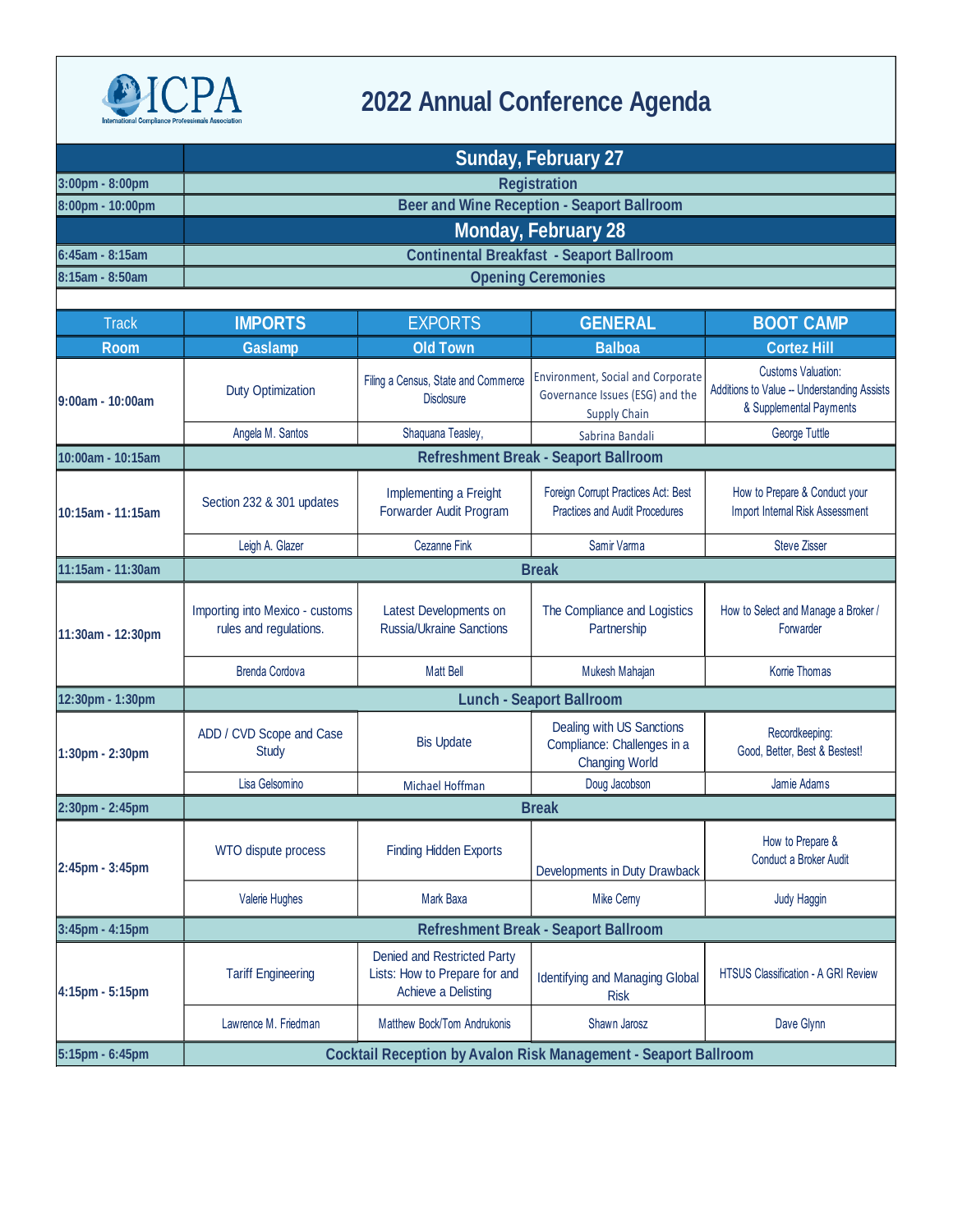

## **2022 Annual Conference Agenda**

|                    | <b>Sunday, February 27</b>                                             |                                                                                     |                                                                                             |                                                                                                     |  |  |  |
|--------------------|------------------------------------------------------------------------|-------------------------------------------------------------------------------------|---------------------------------------------------------------------------------------------|-----------------------------------------------------------------------------------------------------|--|--|--|
| 3:00pm - 8:00pm    |                                                                        | <b>Registration</b>                                                                 |                                                                                             |                                                                                                     |  |  |  |
| 8:00pm - 10:00pm   | <b>Beer and Wine Reception - Seaport Ballroom</b>                      |                                                                                     |                                                                                             |                                                                                                     |  |  |  |
|                    | <b>Monday, February 28</b>                                             |                                                                                     |                                                                                             |                                                                                                     |  |  |  |
| 6:45am - 8:15am    |                                                                        | <b>Continental Breakfast - Seaport Ballroom</b>                                     |                                                                                             |                                                                                                     |  |  |  |
| 8:15am - 8:50am    | <b>Opening Ceremonies</b>                                              |                                                                                     |                                                                                             |                                                                                                     |  |  |  |
|                    |                                                                        |                                                                                     |                                                                                             |                                                                                                     |  |  |  |
| <b>Track</b>       | <b>IMPORTS</b>                                                         | <b>EXPORTS</b>                                                                      | <b>GENERAL</b>                                                                              | <b>BOOT CAMP</b>                                                                                    |  |  |  |
| <b>Room</b>        | <b>Gaslamp</b>                                                         | <b>Old Town</b>                                                                     | <b>Balboa</b>                                                                               | <b>Cortez Hill</b>                                                                                  |  |  |  |
| $9:00am - 10:00am$ | <b>Duty Optimization</b>                                               | Filing a Census, State and Commerce<br><b>Disclosure</b>                            | Environment, Social and Corporate<br>Governance Issues (ESG) and the<br><b>Supply Chain</b> | <b>Customs Valuation:</b><br>Additions to Value -- Understanding Assists<br>& Supplemental Payments |  |  |  |
|                    | Angela M. Santos                                                       | Shaquana Teasley,                                                                   | Sabrina Bandali                                                                             | George Tuttle                                                                                       |  |  |  |
| 10:00am - 10:15am  | <b>Refreshment Break - Seaport Ballroom</b>                            |                                                                                     |                                                                                             |                                                                                                     |  |  |  |
| 10:15am - 11:15am  | Section 232 & 301 updates                                              | Implementing a Freight<br>Forwarder Audit Program                                   | Foreign Corrupt Practices Act: Best<br><b>Practices and Audit Procedures</b>                | How to Prepare & Conduct your<br>Import Internal Risk Assessment                                    |  |  |  |
|                    | Leigh A. Glazer                                                        | <b>Cezanne Fink</b>                                                                 | Samir Varma                                                                                 | <b>Steve Zisser</b>                                                                                 |  |  |  |
| 11:15am - 11:30am  | <b>Break</b>                                                           |                                                                                     |                                                                                             |                                                                                                     |  |  |  |
| 11:30am - 12:30pm  | Importing into Mexico - customs<br>rules and regulations.              | Latest Developments on<br><b>Russia/Ukraine Sanctions</b>                           | The Compliance and Logistics<br>Partnership                                                 | How to Select and Manage a Broker /<br>Forwarder                                                    |  |  |  |
|                    | <b>Brenda Cordova</b>                                                  | <b>Matt Bell</b>                                                                    | Mukesh Mahajan                                                                              | Korrie Thomas                                                                                       |  |  |  |
| 12:30pm - 1:30pm   | <b>Lunch - Seaport Ballroom</b>                                        |                                                                                     |                                                                                             |                                                                                                     |  |  |  |
| 1:30pm - 2:30pm    | ADD / CVD Scope and Case<br>Study                                      | <b>Bis Update</b>                                                                   | Dealing with US Sanctions<br>Compliance: Challenges in a<br><b>Changing World</b>           | Recordkeeping:<br>Good, Better, Best & Bestest!                                                     |  |  |  |
|                    | Lisa Gelsomino                                                         | Michael Hoffman                                                                     | Doug Jacobson                                                                               | Jamie Adams                                                                                         |  |  |  |
| 2:30pm - 2:45pm    | <b>Break</b>                                                           |                                                                                     |                                                                                             |                                                                                                     |  |  |  |
| 2:45pm - 3:45pm    | WTO dispute process                                                    | <b>Finding Hidden Exports</b>                                                       | Developments in Duty Drawback                                                               | How to Prepare &<br>Conduct a Broker Audit                                                          |  |  |  |
|                    | Valerie Hughes                                                         | Mark Baxa                                                                           | <b>Mike Cerny</b>                                                                           | Judy Haggin                                                                                         |  |  |  |
| 3:45pm - 4:15pm    |                                                                        |                                                                                     | <b>Refreshment Break - Seaport Ballroom</b>                                                 |                                                                                                     |  |  |  |
| 4:15pm - 5:15pm    | <b>Tariff Engineering</b>                                              | Denied and Restricted Party<br>Lists: How to Prepare for and<br>Achieve a Delisting | <b>Identifying and Managing Global</b><br><b>Risk</b>                                       | HTSUS Classification - A GRI Review                                                                 |  |  |  |
|                    | Lawrence M. Friedman                                                   | Matthew Bock/Tom Andrukonis                                                         | Shawn Jarosz                                                                                | Dave Glynn                                                                                          |  |  |  |
| 5:15pm - 6:45pm    | <b>Cocktail Reception by Avalon Risk Management - Seaport Ballroom</b> |                                                                                     |                                                                                             |                                                                                                     |  |  |  |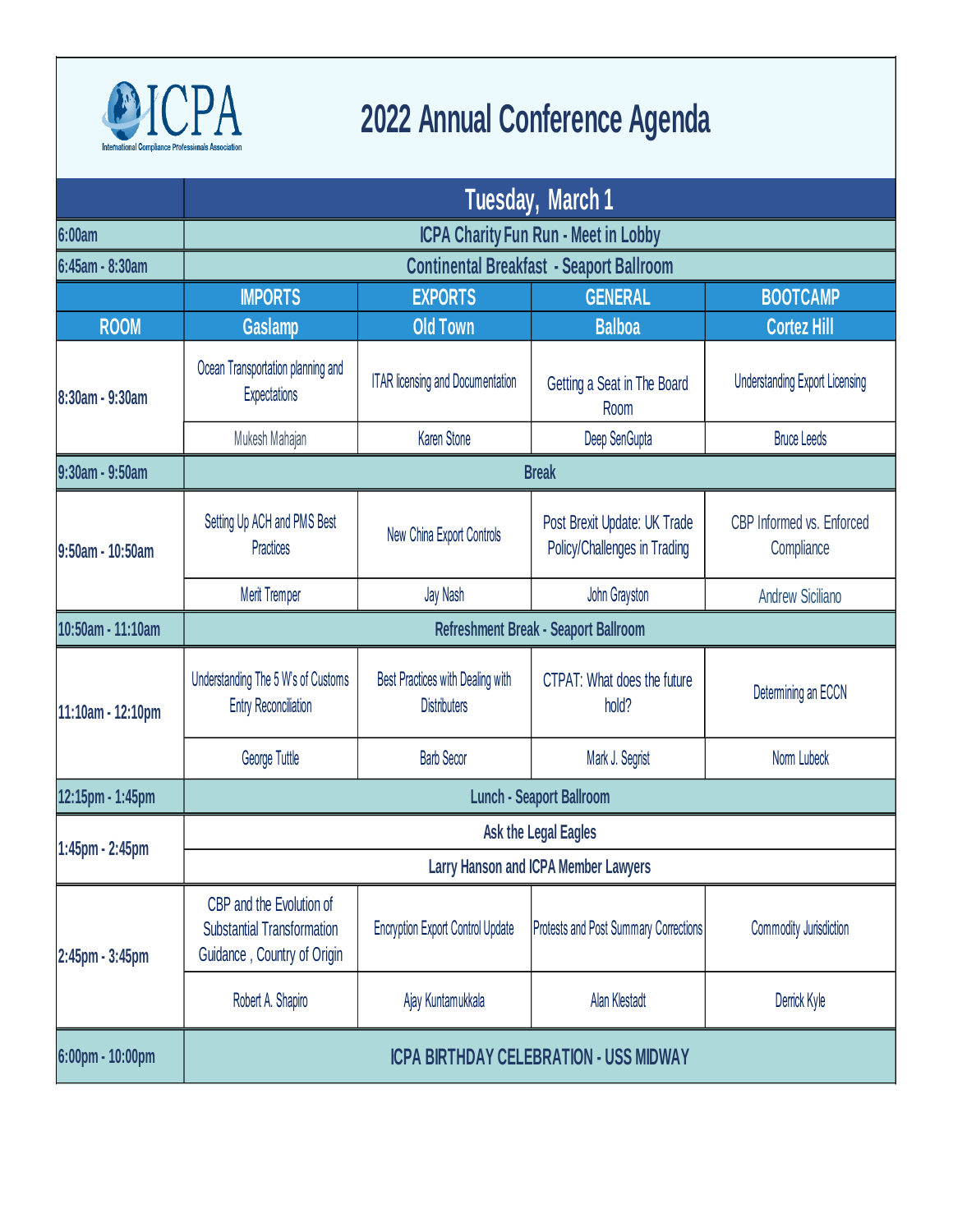

## **2022 Annual Conference Agenda**

|                   | Tuesday, March 1                                                                             |                                                         |                                                              |                                         |  |  |
|-------------------|----------------------------------------------------------------------------------------------|---------------------------------------------------------|--------------------------------------------------------------|-----------------------------------------|--|--|
| <b>6:00am</b>     | <b>ICPA Charity Fun Run - Meet in Lobby</b>                                                  |                                                         |                                                              |                                         |  |  |
| 6:45am - 8:30am   | <b>Continental Breakfast - Seaport Ballroom</b>                                              |                                                         |                                                              |                                         |  |  |
|                   | <b>IMPORTS</b>                                                                               | <b>EXPORTS</b>                                          | <b>GENERAL</b>                                               | <b>BOOTCAMP</b>                         |  |  |
| <b>ROOM</b>       | <b>Gaslamp</b>                                                                               | <b>Old Town</b>                                         | <b>Balboa</b>                                                | <b>Cortez Hill</b>                      |  |  |
| 8:30am - 9:30am   | Ocean Transportation planning and<br><b>Expectations</b>                                     | <b>ITAR licensing and Documentation</b>                 | Getting a Seat in The Board<br>Room                          | <b>Understanding Export Licensing</b>   |  |  |
|                   | Mukesh Mahajan                                                                               | <b>Karen Stone</b>                                      | Deep SenGupta                                                | <b>Bruce Leeds</b>                      |  |  |
| 9:30am - 9:50am   | <b>Break</b>                                                                                 |                                                         |                                                              |                                         |  |  |
| 9:50am - 10:50am  | Setting Up ACH and PMS Best<br><b>Practices</b>                                              | New China Export Controls                               | Post Brexit Update: UK Trade<br>Policy/Challenges in Trading | CBP Informed vs. Enforced<br>Compliance |  |  |
|                   | <b>Merit Tremper</b>                                                                         | Jay Nash                                                | John Grayston                                                | <b>Andrew Siciliano</b>                 |  |  |
| 10:50am - 11:10am | Refreshment Break - Seaport Ballroom                                                         |                                                         |                                                              |                                         |  |  |
| 11:10am - 12:10pm | Understanding The 5 W's of Customs<br><b>Entry Reconciliation</b>                            | Best Practices with Dealing with<br><b>Distributers</b> | CTPAT: What does the future<br>hold?                         | Determining an ECCN                     |  |  |
|                   | George Tuttle                                                                                | <b>Barb Secor</b>                                       | Mark J. Segrist                                              | Norm Lubeck                             |  |  |
| 12:15pm - 1:45pm  | <b>Lunch - Seaport Ballroom</b>                                                              |                                                         |                                                              |                                         |  |  |
| 1:45pm - 2:45pm   | <b>Ask the Legal Eagles</b>                                                                  |                                                         |                                                              |                                         |  |  |
|                   | <b>Larry Hanson and ICPA Member Lawyers</b>                                                  |                                                         |                                                              |                                         |  |  |
| 2:45pm - 3:45pm   | CBP and the Evolution of<br><b>Substantial Transformation</b><br>Guidance, Country of Origin | <b>Encryption Export Control Update</b>                 | <b>Protests and Post Summary Corrections</b>                 | Commodity Jurisdiction                  |  |  |
|                   | Robert A. Shapiro                                                                            | Ajay Kuntamukkala                                       | Alan Klestadt                                                | Derrick Kyle                            |  |  |
| 6:00pm - 10:00pm  | <b>ICPA BIRTHDAY CELEBRATION - USS MIDWAY</b>                                                |                                                         |                                                              |                                         |  |  |